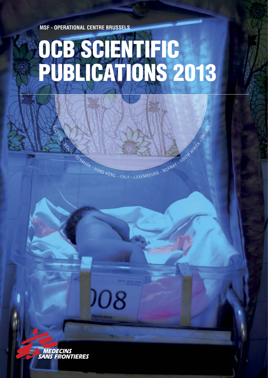**MSF - OPERATIONAL CENTRE BRUSSELS**

BELGIUM - BRAZIL

- DENMARK

# OCB SCIENTIFIC PUBLICATIONS 2013

HONG KONG - ITALY - LUXEMBOURG - NORWAY - SOUTH AFRICANT

108

**MEDECINS<br>SANS FRONTIERES**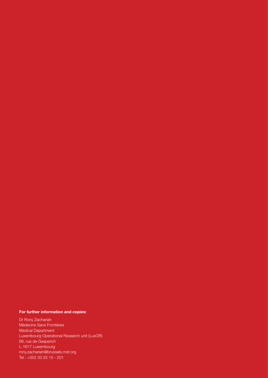#### **For further information and copies:**

Dr Rony Zachariah Médecins Sans Frontières Medical Department Luxembourg Operational Research unit (LuxOR) 68, rue de Gasperich L-1617 Luxembourg rony.zachariah@brussels.msf.org Tel : +352 33 25 15 - 201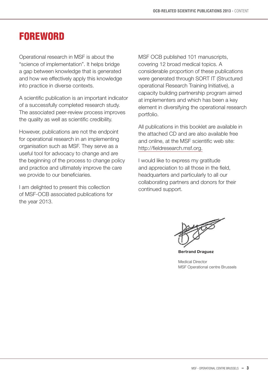# **FOREWORD**

Operational research in MSF is about the "science of implementation". It helps bridge a gap between knowledge that is generated and how we effectively apply this knowledge into practice in diverse contexts.

A scientific publication is an important indicator of a successfully completed research study. The associated peer-review process improves the quality as well as scientific credibility.

However, publications are not the endpoint for operational research in an implementing organisation such as MSF. They serve as a useful tool for advocacy to change and are the beginning of the process to change policy and practice and ultimately improve the care we provide to our beneficiaries.

I am delighted to present this collection of MSF-OCB associated publications for the year 2013.

MSF OCB published 101 manuscripts, covering 12 broad medical topics. A considerable proportion of these publications were generated through SORT IT (Structured operational Research Training Initiative), a capacity building partnership program aimed at implementers and which has been a key element in diversifying the operational research portfolio.

All publications in this booklet are available in the attached CD and are also available free and online, at the MSF scientific web site: http://fieldresearch.msf.org.

I would like to express my gratitude and appreciation to all those in the field, headquarters and particularly to all our collaborating partners and donors for their continued support.

**Bertrand Draguez**

Medical Director MSF Operational centre Brussels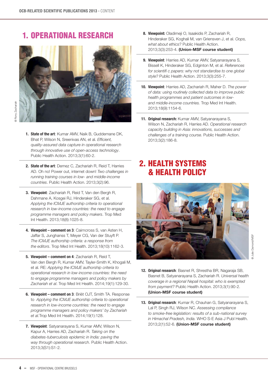#### 1. Operational Research



- **1. State of the art**: Kumar AMV, Naik B, Guddemane DK, Bhat P, Wilson N, Sreenivas AN, et al. *Efficient, [quality-assured data capture in operational research](http://www.ingentaconnect.com/content/iuatld/pha/2013/00000003/00000001/art00017?token=005a180ea304e84a6e586546243142427c6b795d5870345f2e5e4e2663433b393f6a333f25663dba753f09ab18)  through innovative use of open-access technology*. Public Health Action. 2013;3(1):60-2.
- **2. State of the art**: Demez C, Zachariah R, Reid T, Harries AD. Oh no! Power out, internet down! *Two challenges in [running training courses in low- and middle-income](http://fieldresearch.msf.org/msf/handle/10144/303530?mode=full)  countries*. Public Health Action. 2013;3(2):96.
- **3. Viewpoint**: Zachariah R, Reid T, Van den Bergh R, Dahmane A, Kosgei RJ, Hinderaker SG, et al. *Applying the ICMJE authorship criteria to operational [research in low-income countries: the need to engage](http://fieldresearch.msf.org/msf/bitstream/10144/295237/1/Zachariah%20Applying%20the%20ICMJE%20authorship%20criteria%20to%20operational%20research%20in%20low-income%20countries.pdf)  programme managers and policy makers*. Trop Med Int Health. 2013;18(8):1025-8.
- **4. Viewpoint comment on 3**: Cairncross S, van Asten H, [Jaffar S, Junghanss T, Meyer CG, Van der Stuyft P.](http://onlinelibrary.wiley.com/doi/10.1111/tmi.12174/full)  *The ICMJE authorship criteria: a response from the editors*. Trop Med Int Health. 2013;18(10):1162-3.
- **5. Viewpoint comment on 4**: Zachariah R, Reid T, [Van den Bergh R, Kumar AMV, Tayler-Smith K, Khogali M,](http://fieldresearch.msf.org/msf/handle/10144/295237)  et al. RE: *Applying the ICMJE authorship criteria to operational research in low-income countries: the need to engage programme managers and policy makers by Zachariah et al*. Trop Med Int Health. 2014;19(1):129-30.
- **6. Viewpoint comment on 3**: Briët OJT, Smith TA. Response to *Applying the ICMJE authorship criteria to operational research in low-income countries: the need to engage [programme managers and policy makers' by Zachariah](http://onlinelibrary.wiley.com/doi/10.1111/tmi.12213/full)  et al.*Trop Med Int Health. 2014;19(1):128.
- **7. Viewpoint**: Satyanarayana S, Kumar AMV, Wilson N, Kapur A, Harries AD, Zachariah R. *Taking on the [diabetes-tuberculosis epidemic in India: paving the](http://fieldresearch.msf.org/msf/handle/10144/314678)  way through operational research*. Public Health Action. 2013;3(S1):S1-2.
- **8. Viewpoint:** Oladimeji O, Isaakidis P, Zachariah R, [Hinderaker SG, Koghali M, van Griensven J, et al.](http://fieldresearch.msf.org/msf/handle/10144/305799) *Oops, what about ethics?* Public Health Action. 2013;3(3):253-4. **(Union-MSF course student)**
- **9. Viewpoint**: Harries AD, Kumar AMV, Satyanarayana S, Bissell K, Hinderaker SG, Edginton M, et al. *References [for scientifi c papers: why not standardise to one global](http://fieldresearch.msf.org/msf/handle/10144/305798)  style?* Public Health Action. 2013;3(3):255-7.
- **10. Viewpoint**: Harries AD, Zachariah R, Maher D. *The power [of data: using routinely collected data to improve public](http://fieldresearch.msf.org/msf/handle/10144/302227)  health programmes and patient outcomes in low and middle-income countries.* Trop Med Int Health. 2013;18(9):1154-6.
- **11. Original research:** Kumar AMV, Satyanarayana S, Wilson N, Zachariah R, Harries AD. *Operational research [capacity building in Asia: innovations, successes and](http://fieldresearch.msf.org/msf/handle/10144/305821?mode=full)  challenges of a training course.* Public Health Action. 2013;3(2):186-8.

## 2. Health Systems & Health Policy



- **12. Original research**: Basnet R, Shrestha BR, Nagaraja SB, Basnet B, Satyanarayana S, Zachariah R. *Universal health [coverage in a regional Nepali hospital: who is exempted](http://fieldresearch.msf.org/msf/handle/10144/295276)  from payment?* Public Health Action. 2013;3(1):90-2. **(Union-MSF course student)**
- **13. Original research**: Kumar R, Chauhan G, Satyanarayana S, Lal P, Singh RJ, Wilson NC. *Assessing compliance [to smoke-free legislation: results of a sub-national survey](http://www.who-seajph.org/article.asp?issn=2224-3151;year=2013;volume=2;issue=1;spage=52;epage=56;aulast=kumar)  in Himachal Pradesh, India.* WHO S-E Asia J Publ Health. 2013;2(1):52-6. **(Union-MSF course student)**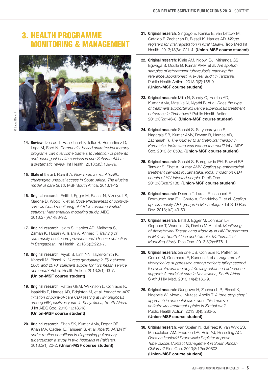### 3. Health Programme **MONITORING & MANAGEMENT**



- **14. Review**: Decroo T, Rasschaert F, Telfer B, Remartinez D, Laga M, Ford N. *Community-based antiretroviral therapy [programs can overcome barriers to retention of patients](http://fieldresearch.msf.org/msf/handle/10144/302801)  and decongest health services in sub-Saharan Africa: a systematic review.* Int Health. 2013;5(3):169-79.
- **15. State of the art**: Benoît A. *New roots for rural health: [challenging unequal access in South Africa.](http://www.msf.org/sites/msf.org/files/musina_new-roots-for-rural-health_south-africa.pdf) The Musina model of care 2013*. MSF South Africa. 2013;1-12.
- **16. Original research**: Estill J, Egger M, Blaser N, Vizcaya LS, Garone D, Wood R, et al. *Cost-effectiveness of point-of [care viral load monitoring of ART in resource-limited](http://fieldresearch.msf.org/msf/handle/10144/302803?mode=full)  settings: Mathematical modelling study.* AIDS. 2013;27(9):1483-92.
- **17. Original research**: Islam S, Harries AD, Malhotra S, Zaman K, Husain A, Islam A, Ahmed F. *Training of [community healthcare providers and TB case detection](http://www.biomedcentral.com/1471-2458/15/52)  in Bangladesh.* Int Health. 2013;5(3):223-7.
- **18. Original research**: Aiyub S, Linh NN, Tayler-Smith K, Khogali M, Bissell K. *Nurses graduating in Fiji between [2001 and 2010: sufficient supply for Fiji's health service](http://fieldresearch.msf.org/msf/handle/10144/303538)  demands?* Public Health Action. 2013;3(1):63-7. **(Union-MSF course student)**
- **19. Original research**: Patten GEM, Wilkinson L, Conradie K, Isaakidis P, Harries AD, Edginton M, et al. *Impact on ART initiation of point-of-care CD4 testing at HIV diagnosis [among HIV-positives youth in Khayelitsha, South Africa.](http://www.ncbi.nlm.nih.gov/pmc/articles/PMC3702919/)* J Int AIDS Soc. 2013;16:18518. **(Union-MSF course student)**
- **20. Original research**: Shah SK, Kumar AMV, Dogar OF, Khan MA, Qadeer E, Tahseen S, et al. *Xpert® MTB/RIF [under routine conditions in diagnosing pulmonary](http://fieldresearch.msf.org/msf/handle/10144/303539)  tuberculosis: a study in two hospitals in Pakistan.* 2013;3(1):20-2. **(Union-MSF course student)**
- **21. Original research**: Singogo E, Kanike E, van Lettow M, [Cataldo F, Zachariah R, Bissell K, Harries AD.](http://onlinelibrary.wiley.com/doi/10.1111/tmi.12132/full) *Village registers for vital registration in rural Malawi.* Trop Med Int Health. 2013;18(8):1021-4. **(Union-MSF course student)**
- **22. Original research**: Kilale AM, Ngowi BJ, Mfinanga GS, Egwaga S, Doulla B, Kumar AMV, et al. *Are sputum samples of retreatment tuberculosis reaching the [reference laboratories? A 9-year audit in Tanzania.](http://www.ingentaconnect.com/content/iuatld/pha/2013/00000003/00000002/art00016)* Public Health Action. 2013;3(2):156-9. **(Union-MSF course student)**
- **23. Original research**: Mlilo N, Sandy C, Harries AD, Kumar AMV, Masuka N, Nyathi B, et al. *Does the type [of treatment supporter infl uence tuberculosis treatment](http://www.ingentaconnect.com/content/iuatld/pha/2013/00000003/00000002/art00016)  outcomes in Zimbabwe?* Public Health Action. 2013;3(2):146-8. **(Union-MSF course student)**
- **24. Original research**: Shastri S, Satyanarayana S, [Nagaraja SB, Kumar AMV, Rewan B, Harries AD,](http://www.ncbi.nlm.nih.gov/pmc/articles/PMC3756231/)  Zachariah R. *The journey to antiretroviral therapy in Karnataka, India: who was lost on the road?* Int J AIDS Soc. 2013;6:18502. **(Union-MSF course student)**
- **25. Original research**: Shastri S, Boregowda PH, Rewari BB, Tanwar S, Shet A, Kumar AMV. *Scaling up antiretroviral [treatment services in Karnataka, India: impact on CD4](http://journals.plos.org/plosone/article?id=10.1371/journal.pone.0072188)  counts of HIV-infected people.* PLoS One. 2013;8(8):e72188. **(Union-MSF course student)**
- **26. Original research**: Decroo T, LaraJ, Rasschaert F, [Bermudez-Asa EH, Couto A, Candrinho B, et al.](http://www.sciencedomain.org/abstract/2418) *Scaling up community ART groups in Mozambique.* Int STD Res Rev. 2013;1(2):49-59.
- **27. Original research**: Estill J, Egger M, Johnson LF, Gsponer T, Wandeler G, Davies M-A, et al. *Monitoring [of Antiretroviral Therapy and Mortality in HIV Programmes](http://journals.plos.org/plosone/article?id=10.1371/journal.pone.0057611)  in Malawi, South Africa and Zambia: Mathematical Modelling Study.* Plos One. 2013;8(2):e57611.
- **28. Original research:** Garone DB, Conradie K, Patten G, Cornell M, Goemaere E, Kunene J, et al. *High rate of [virological re-suppression among patients failing second](http://fieldresearch.msf.org/msf/handle/10144/311639)  line antiretroviral therapy following enhanced adherence support: A model of care in Khayelitsha, South Africa.* S Afr J HIV Med. 2013;14(4):166-9.
- **29. Original research**: Gungowo H, Zachariah R, Bissell K, Ndebele W, Moyo J, Mutasa-Apollo T. *A 'one-stop shop' [approach in antenatal care: does this improve](http://fieldresearch.msf.org/msf/handle/10144/314679?mode=full)  antiretroviral treatment uptake in Zimbabwe?* Public Health Action. 2013;3(4): 282-5. **(Union-MSF course student)**
- **30. Original research**: van Soelen N, duPreez K, van Wyk SS, [Mandalakas AM, Enarson DA, Reid AJ, Hesseling AC.](http://fieldresearch.msf.org/msf/handle/10144/311692)  *Does an Isoniazid Prophylaxis Register Improve Tuberculosis Contact Management in South African Children?* Plos One. 2013;8(12):e80803. **(Union-MSF course student)**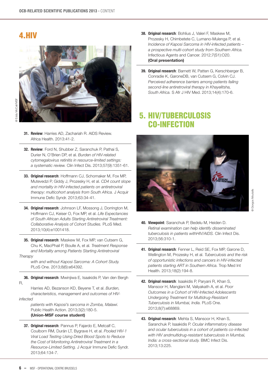#### 4.HIV



- **31. Review**: [Harries AD, Zachariah R. AIDS Review.](http://www.theunion.org/what-we-do/research/recent-research-update/viewpoint-opinion-and-review-papers-all-topics)  Africa Health. 2013:41-2.
- **32. Review**: Ford N, Shubber Z, Saranchuk P, Pathai S, Durier N, O'Brien DP, et al. *Burden of HIV-related [cytomegalovirus retinitis in resource-limited settings:](http://cid.oxfordjournals.org/content/57/9/1351.full.pdf+html?ijkey=56xnta/hm44ta&keytype=ref&siteid=cid)  a systematic review.* Clin Infect Dis. 2013;57(9):1351-61.
- **33. Original research**: Hoffmann CJ, Schomaker M, Fox MP, Mutevedzi P, Giddy J, Prozesky H, et al. *CD4 count slope [and mortality in HIV-infected patients on antiretroviral](http://www.ncbi.nlm.nih.gov/pmc/articles/PMC3655761/)  therapy: multicohort analysis from South Africa.* J Acquir Immune Defic Syndr. 2013;63:34-41.
- **34. Original research**: Johnson LF, Mossong J, Dorrington M, Hoffmann CJ, Keiser O, Fox MP, et al. *Life Expectancies [of South African Adults Starting Antiretroviral Treatment:](http://fieldresearch.msf.org/msf/handle/10144/295270?mode=full)  Collaborative Analysis of Cohort Studies.* PLoS Med. 2013;10(4):e1001418.
- **35. Original research**: Maskew M, Fox MP, van Cutsem G, Chu K, MacPhail P, Boulle A, et al. *Treatment Response  [and Mortality among Patients Starting Antiretroviral](http://fieldresearch.msf.org/msf/handle/10144/303529)*

#### *Therapy*

 *with and without Kaposi Sarcoma: A Cohort Study.* PLoS One. 2013;8(6):e64392.

**36. Original research**: Mwinjiwa E, Isaakidis P, Van den Bergh R,

 Harries AD, Bezanson KD, Beyene T, et al. *Burden,  [characteristics, management and outcomes of HIV](http://fieldresearch.msf.org/msf/handle/10144/302230?mode=full)infected* 

> *patients with Kaposi's sarcoma in Zomba, Malawi.* Public Health Action. 2013;3(2):180-5. **(Union-MSF course student)**

**37. Original research**: Pannus P, Fajardo E, Metcalf C, Coulborn RM, Durán LT, Bygrave H, et al. *Pooled HIV-1  [Viral Load Testing Using Dried Blood Spots to Reduce](http://fieldresearch.msf.org/msf/handle/10144/305934)  the Cost of Monitoring Antiretroviral Treatment in a Resource-Limited Setting.* J Acquir Immune Defic Syndr. 2013;64:134-7.

- **38. Original research**: Bohlius J, Valeri F, Maskew M, Prozesky H, Chimbetete C, Lumano-Mulenga P, et al. *[Incidence of Kaposi Sarcoma in HIV-infected patients –](http://www.infectagentscancer.com/content/7/s1/o20)  a prospective multi-cohort study from Southern Africa.* Infectious Agents and Cancer. 2012;7(S1):O20. **(Oral presentation)**
- **39. Original research**: Barnett W, Patten G, Kerschberger B, Conradie K, GaroneDB, van Cutsem G, Colvin CJ. *[Perceived adherence barriers among patients failing](http://fieldresearch.msf.org/msf/handle/10144/311640)  second-line antiretroviral therapy in Khayelitsha, South Africa.* S Afr J HIV Med. 2013;14(4):170-6.

#### 5. HIV/Tuberculosis Co-infection



- **40. Viewpoint**: Saranchuk P, Bedelu M, Heiden D. *[Retinal examination can help identify disseminated](http://fieldresearch.msf.org/msf/handle/10144/269612)  tuberculosis in patients withHIV/AIDS.* Clin Infect Dis. 2013;56:310-1.
- **41. Original research**: Fenner L, Reid SE, Fox MP, Garone D, Wellington M, Prozesky H, et al. *Tuberculosis and the risk [of opportunistic infections and cancers in HIV-infected](http://fieldresearch.msf.org/msf/handle/10144/283352)  patients starting ART in Southern Africa.* Trop Med Int Health. 2013;18(2):194-8.
- **42. Original research**: Isaakidis P, Paryani R, Khan S, Mansoor H, Manglani M, Valiyakath A, et al. *Poor [Outcomes in a Cohort of HIV-Infected Adolescents](http://fieldresearch.msf.org/msf/handle/10144/305744)  Undergoing Treatment for Multidrug-Resistant Tuberculosis in Mumbai, India.* PLoS One. 2013;8(7):e68869.
- **43. Original research**: Mehta S, Mansoor H, Khan S, Saranchuk P, Isaakidis P. *Ocular inflammatory disease [and ocular tuberculosis in a cohort of patients co-infected](http://www.biomedcentral.com/1471-2334/13/225)  with HIV andmultidrug-resistant tuberculosis in Mumbai, India: a cross-sectional study.* BMC Infect Dis. 2013;13:225.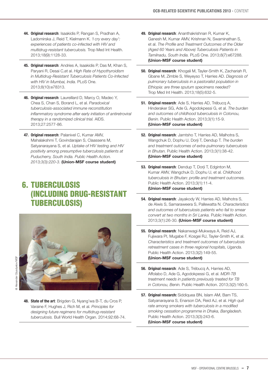- **44. Original research**: Isaakidis P, Rangan S, Pradhan A, Ladomirska J, Reid T, Kielmann K. *'I cry every day': [experiences of patients co-infected with HIV and](http://fieldresearch.msf.org/msf/handle/10144/303292)  multidrug-resistant tuberculosis.* Trop Med Int Health. 2013;18(9):1128-33.
- **45. Original research**: Andries A, Isaakidis P, Das M, Khan S, Paryani R, Desai C,et al. *High Rate of Hypothyroidism [in Multidrug-Resistant Tuberculosis Patients Co-Infected](http://fieldresearch.msf.org/msf/handle/10144/305842)  with HIV in Mumbai, India.* PLoS One. 2013;8(10):e78313.
- **46. Original research**: Laureillard D, Marcy O, Madec Y, Chea S, Chan S, Borand L, et al. *Paradoxical tuberculosis-associated immune reconstitution [inflammatory syndrome after early initiation of antiretroviral](http://fieldresearch.msf.org/msf/handle/10144/322813)  therapy in a randomized clinical trial.* AIDS. 2013;27:2577-86.
- **47. Original research**: Palanivel C, Kumar AMV, Mahalakshmi T, Govindarajan S, Claassens M, Satyanarayana S, et al. *Uptake of HIV testing and HIV [positivity among presumptive tuberculosis patients at](http://www.ingentaconnect.com/content/iuatld/pha/2013/00000003/00000003/art00008)  Puducherry, South India. Public Health Action. 2013;3(3):220-3.* **(Union-MSF course student)**

### 6. Tuberculosis (including drug-resistant tuberculosis)



- 
- **48. State of the art**: Brigden G, Nyang'wa B-T, du Cros P, Varaine F, Hughes J, Rich M, et al. *Principles for [designing future regimens for multidrug-resistant](http://www.msf.org/article/principles-designing-future-regimens-multidrug-resistant-tuberculosis)  tuberculosis.* Bull World Health Organ. 2014;92:68-74.
- **49. Original research**: Ananthakrishnan R, Kumar K, [Ganesh M, Kumar AMV, Krishnan N, Swaminathan S,](http://www.ncbi.nlm.nih.gov/pmc/articles/PMC3704605/)  et al. *The Profile and Treatment Outcomes of the Older (Aged 60 Years and Above) Tuberculosis Patients in Tamilnadu, South India.* PLoS One. 2013;8(7):e67288. **(Union-MSF course student)**
- **50. Original research**: Khogali M, Tayler-Smith K, Zachariah R, Gbane M, Zimble S, Weyeyso T, Harries AD. *Diagnosis of [pulmonary tuberculosis in a pastoralist population in](http://fieldresearch.msf.org/msf/handle/10144/302752)  Ethiopia: are three sputum specimens needed?* Trop Med Int Health. 2013;18(5):632-5.
- **51. Original research**: Ade S, Harries AD, Trébucq A, Hinderaker SG, Ade G, Agodokpessi G, et al. *The burden [and outcomes of childhood tuberculosis in Cotonou,](http://fieldresearch.msf.org/msf/handle/10144/303535)  Benin.* Public Health Action. 2013;3(1):15-9. **(Union-MSF course student)**
- **52. Original research**: Jamtsho T, Harries AD, Malhotra S, Wangchuk D, Dophu U, Dorji T, Dendup T. *The burden [and treatment outcomes of extra-pulmonary tuberculosis](http://fieldresearch.msf.org/msf/handle/10144/303537)  in Bhutan.* Public Health Action. 2013;3(1):38-42. **(Union-MSF course student)**
- **53. Original research**: Dendup T, Dorji T, Edginton M, Kumar AMV, Wangchuk D, Dophu U, et al. *Childhood [tuberculosis in Bhutan: profile and treatment outcomes.](http://www.ingentaconnect.com/content/iuatld/pha/2013/00000003/00000001/art00006?token=0052102e437a63736a6f354779213e662525532e3e6f644a467c79675d7c4e72477006585343b25b3c)* Public Health Action. 2013;3(1):11-4. **(Union-MSF course student)**
- **54. Original research**: Jayakody W, Harries AD, Malhotra S, de Alwis S, Samaraweera S, Pallewatta N. *Characteristics [and outcomes of tuberculosis patients who fail to smear](http://www.ingentaconnect.com/content/iuatld/pha/2013/00000003/00000001/art00010)  convert at two months in Sri Lanka.* Public Health Action. 2013;3(1):26-30. **(Union-MSF course student)**
- **55. Original research**: Nakanwagi-Mukwaya A, Reid AJ, [Fujiwara PI, Mugabe F, Kosgei RJ, Tayler-Smith K, et al.](http://www.ingentaconnect.com/content/iuatld/pha/2013/00000003/00000002/art00015)  *Characteristics and treatment outcomes of tuberculosis retreatment cases in three regional hospitals, Uganda.* Public Health Action. 2013;3(2):149-55. **(Union-MSF course student)**
- **56. Original research**: Ade S, Trébucq A, Harries AD, Affolabo D, Ade G, Agodokpessi G, et al. *MDR-TB [treatment needs in patients previously treated for TB](http://www.ingentaconnect.com/content/iuatld/pha/2013/00000003/00000002/art00017)  in Cotonou, Benin.* Public Health Action. 2013;3(2):160-5.
- **57. Original research:** Siddiquea BN, Islam AM, Bam TS, Satyanarayana S, Enarson DA, Reid AJ, et al. *High quit rate among smokers with tuberculosis in a modified [smoking cessation programme in Dhaka, Bangladesh.](http://www.ingentaconnect.com/content/iuatld/pha/2013/00000003/00000003/art00013)* Public Health Action. 2013;3(3):243-6. **(Union-MSF course student)**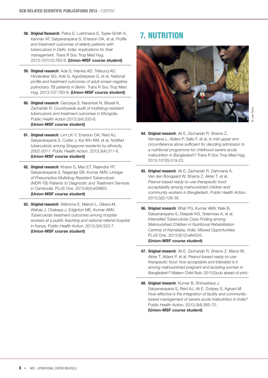- **58. Original Research**: Patra S, Lukhmana S, Tayler-Smith K, [Kannan AT, Satyanarayana S, Enarson DA, et al.](http://fieldresearch.msf.org/msf/handle/10144/311663) *Profile and treatment outcomes of elderly patients with tuberculosis in Delhi, India: implications for their management.* Trans R Soc Trop Med Hyg. 2013;107(12):763-8. **(Union-MSF course student)**
- **59. Original research**: Ade S, Harries AD, Trébucq AD, Hinderaker SG, Adè G, Agodokpessi G, et al. *National [profile and treatment outcomes of adult smear-negative](http://journals.plos.org/plosone/article?id=10.1371/journal.pone.0095603)  pulmonary TB patients in Benin.* Trans R Soc Trop Med Hyg. 2013;107:783-8. **(Union-MSF course student)**
- **60. Original research**: Ganzaya S, Naranbat N, Bissell K, Zachariah R. *Countrywide audit of multidrug-resistant [tuberculosis and treatment outcomes in Mongolia.](http://fieldresearch.msf.org/msf/handle/10144/311683)* Public Health Action.2013;3(4):333-6. **(Union-MSF course student)**
- **61. Original research**: Lim LK-Y, Enarson DA, Reid AJ, Satyanarayana S, Cutter J, Kyi Win KM, et al. *Notified [tuberculosis among Singapore residents by ethnicity,](http://fieldresearch.msf.org/msf/bitstream/10144/311686/1/Lim%20et%20al-2013-Notified%20TB%20among%20Singapore%20residents%20by%20ethnicity%202002-2011.pdf)  2002-2011.* Public Health Action. 2013;3(4):311-6. **(Union-MSF course student)**
- **62. Original research**: Khann S, Mao ET, Rajendra YP, Satyanarayana S, Nagaraja SB, Kumar AMV. *Linkage of Presumptive Multidrug Resistant Tuberculosis [\(MDR-TB\) Patients to Diagnostic and Treatment Services](http://journals.plos.org/plosone/article?id=10.1371/journal.pone.0059903)  in Cambodia.* PLoS One. 2013;8(4):e59903. **(Union-MSF course student)**
- **63. Original research**: Wahome E, Makori L, Gikera M, Wafula J, Chakaya J, Edginton ME, Kumar AMV. *Tuberculosis treatment outcomes among hospital [workers at a public teaching and national referral hospital](http://www.ncbi.nlm.nih.gov/pmc/articles/PMC3636254/)  in Kenya.* Public Health Action. 2013;3(4):323-7. **(Union-MSF course student)**

## **7. NUTRITION**



- **64. Original research**: Ali E, Zachariah R, Shams Z, Vernaeve L, Alders P, Salio F, et al. *Is mid-upper arm [circumference alone sufficient for deciding admission to](http://fieldresearch.msf.org/msf/handle/10144/302217)  a nutritional programme for childhood severe acute malnutrition in Bangladesh?* Trans R Soc Trop Med Hyg. 2013;107(5):319-23.
- **65. Original research**: Ali E, Zachariah R, Dahmane A, Van den Boogaard W, Shams Z, Akter T, et al. *Peanut-based ready-to-use therapeutic food: [acceptability among malnourished children and](http://fieldresearch.msf.org/msf/handle/10144/305730)  community workers in Bangladesh.* Public Health Action. 2013;3(2):128-35.
- **66. Original research**: Bhat PG, Kumar AMV, Naik B, Satyanarayana S, Deepak KG, Sreenivas A, et al. *Intensified Tuberculosis Case Finding among Malnourished Children in Nutritional Rehabilitation [Centres of Karnataka, India: Missed Opportunities.](http://journals.plos.org/plosone/article?id=10.1371/journal.pone.0084255)* PLoS One. 2013;8(12):e84255. **(Union-MSF course student)**
- **67. Original research**: Ali E, Zachariah R, Shams Z, Manzi M, Akter T, Alders P, et al. *Peanut-based ready-to-use therapeutic food: how acceptable and tolerated is it [among malnourished pregnant and lactating women in](http://onlinelibrary.wiley.com/doi/10.1111/mcn.12050/full)  Bangladesh?* Matern Child Nutr. 2013;Epub ahead of print.
- **68. Original research**: Kumar B, Shrivastava J, Satyanarayana S, Reid AJ, Ali E, Zodpey S, Agnani M. *How effective is the integration of facility and community [based management of severe acute malnutrition in India?](http://www.ingentaconnect.com/content/iuatld/pha/2013/00000003/00000004/art00003)* Public Health Action. 2013;3(4):265-70. **(Union-MSF course student)**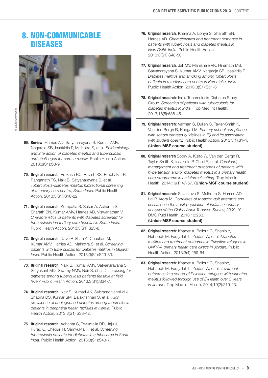#### 8. Non-Communicable **DISEASES**



- **69. Review**: Harries AD, Satyanarayana S, Kumar AMV, Nagaraja SB, Isaakidis P, Malhotra S, et al. *Epidemiology [and interaction of diabetes mellitus and tuberculosis](http://fieldresearch.msf.org/msf/handle/10144/305889)  and challenges for care: a review.* Public Health Action. 2013;3(S1):S3-9.
- **70. Original research**: Prakash BC, Ravish KS, Prabhakar B, Ranganath TS, Naik B, Satyanarayana S, et al. *[Tuberculosis-diabetes mellitus bidirectional screening](http://fieldresearch.msf.org/msf/handle/10144/305891)  at a tertiary care centre, South India.* Public Health Action. 2013;3(S1):S18-22.
- **71. Original research**: Kumpatla S, Sekar A, Achanta S, [Sharath BN, Kumar AMV, Harries AD, Viswanathan V.](http://www.ingentaconnect.com/content/iuatld/pha/2013/00000003/a00101s1/art00005)  *Characteristics of patients with diabetes screened for tuberculosis ina tertiary care hospital in South India.* Public Health Action. 2013;3(S1):S23-8.
- **72. Original research**: Dave P, Shah A, Chauhan M, Kumar AMV, Harries AD, Malhotra S, et al. *Screening [patients with tuberculosis for diabetes mellitus in Gujarat,](http://www.ingentaconnect.com/content/iuatld/pha/2013/00000003/a00101s1/art00006)  India.* Public Health Action. 2013;3(S1):S29-33.
- **73. Original research**: Naik B, Kumar AMV, Satyanarayana S, Suryakant MD, Swamy NMV, Nair S, et al. *Is screening for [diabetes among tuberculosis patients feasible at field](http://fieldresearch.msf.org/msf/handle/10144/305904)  level?* Public Health Action. 2013;3(S1):S34-7.
- **74. Original research**: Nair S, Kumari AK, Subramonianpillai J, Shabna DS, Kumar SM, Balakrishnan S, et al. *High [prevalence of undiagnosed diabetes among tuberculosis](http://fieldresearch.msf.org/msf/handle/10144/305903)  patients in peripheral health facilities in Kerala.* Public Health Action. 2013;3(S1):S38-42.
- **75. Original research**: Achanta S, Tekumalla RR, Jaju J, Purad C, Chepuri R, Samyukta R, et al. *Screening [tuberculosis patients for diabetes in a tribal area in South](http://www.ingentaconnect.com/content/iuatld/pha/2013/00000003/a00101s1/art00009)  India.* Public Health Action. 2013;3(S1):S43-7.
- **76. Original research**: Khanna A, Lohya S, Sharath BN, Harries AD. *Characteristics and treatment response in [patients with tuberculosis and diabetes mellitus in](http://www.ingentaconnect.com/content/iuatld/pha/2013/00000003/a00101s1/art00010)  New Delhi, India.* Public Health Action. 2013;3(S1):S48-50.
- **77. Original research**: Jali MV, Mahishale VK, Hiremath MB, [Satyanarayana S, Kumar AMV, Nagaraja SB, Isaakidis P.](http://fieldresearch.msf.org/msf/handle/10144/305890)  *Diabetes mellitus and smoking among tuberculosis patients in a tertiary care centre in Karnataka, India.* Public Health Action. 2013;3(S1):S51-3.
- **78. Original research**: India Tuberculosis-Diabetes Study Group. *[Screening of patients with tuberculosis for](http://fieldresearch.msf.org/msf/handle/10144/303517)  diabetes mellitus in India.* Trop Med Int Health. 2013;18(5):636-45.
- **79. Original research**: Varman S, Bullen C, Tayler-Smith K, Van den Bergh R, Khogali M. *Primary school compliance [with school canteen guidelines in Fiji and its association](http://fieldresearch.msf.org/msf/handle/10144/303516)  with student obesity.* Public Health Action. 2013;3(1):81-4. **(Union-MSF course student)**
- **80. Original research** Sobry A, Kizito W, Van den Bergh R, Tayler-Smith K, Isaakidis P, Cheti E, et al. *Caseload, management and treatment outcomes of patients with [hypertension and/or diabetes mellitus in a primary health](http://onlinelibrary.wiley.com/doi/10.1111/tmi.12210/abstract)  care programme in an informal setting.* Trop Med Int Health. 2014;19(1):47-57. **(Union-MSF course student)**
- **81. Original research**: Srivastava S, Malhotra S, Harries AD, Lal P, Arora M. *Correlates of tobacco quit attempts and cessation in the adult population of India: secondary [analysis of the Global Adult Tobacco Survey, 2009-10.](http://www.biomedcentral.com/1471-2458/13/263)* BMC Publ Health. 2013;13:263. **(Union-MSF course student)**
- **82. Original research**: Khader A, Ballout G, Shahin Y, Habebeh M, Farajallah L, Zeidan W, et al. *Diabetes [mellitus and treatment outcomes in Palestine refugees in](http://www.ingentaconnect.com/content/iuatld/pha/2013/00000003/00000004/art00002)  UNRWA primary health care clinics in Jordan.* Public Health Action. 2013;3(4):259-64.
- **83. Original research**: Khader A, Ballout G, ShahinY, Hababeh M, Farajallah L, Zeidan W, et al. *Treatment [outcomes in a cohort of Palestine refugees with diabetes](http://fieldresearch.msf.org/msf/handle/10144/314680)  mellitus followed through use of E-Health over 3 years in Jordan.* Trop Med Int Health. 2014;19(2):219-23.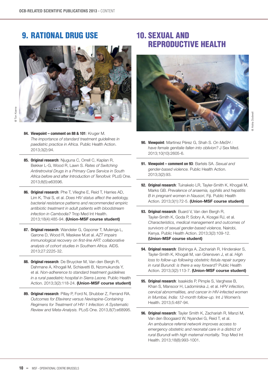#### 9. Rational Drug Use



- **84. Viewpoint comment on 88 & 101**: Kruger M. *[The importance of standard treatment guidelines in](http://www.ingentaconnect.com/content/iuatld/pha/2013/00000003/00000002/art00002)  paediatric practice in Africa.* Public Health Action. 2013;3(2):94.
- **85. Original research**: Njuguna C, Orrell C, Kaplan R, Bekker L-G, Wood R, Lawn S. *Rates of Switching [Antiretroviral Drugs in a Primary Care Service in South](http://journals.plos.org/plosone/article?id=10.1371/journal.pone.0063596)  Africa before and after Introduction of Tenofovir.* PLoS One. 2013;8(5):e63596.
- **86. Original research**: Phe T, Vlieghe E, Reid T, Harries AD, Lim K, Thai S, et al. *Does HIV status affect the aetiology, [bacterial resistance patterns and recommended empiric](http://onlinelibrary.wiley.com/doi/10.1111/tmi.12060/full)  antibiotic treatment in adult patients with bloodstream infection in Cambodia?* Trop Med Int Health. 2013;18(4):485-94. **(Union-MSF course student)**
- **87. Original research**: Wandeler G, Gsponer T, Mulenga L, Garone D, Wood R, Maskew M,et al. *AZT impairs [immunological recovery on first-line ART: collaborative](http://fieldresearch.msf.org/msf/handle/10144/336364)  analysis of cohort studies in Southern Africa.* AIDS. 2013;27:2225-32.
- **88. Original research**: De Bruycker M, Van den Bergh R, [Dahmane A, Khogali M, Schiavetti B, Nzomukunda Y,](http://fieldresearch.msf.org/msf/handle/10144/311691)  et al. *Non-adherence to standard treatment guidelines in a rural paediatric hospital in Sierra Leone.* Public Health Action. 2013;3(2):118-24. **(Union-MSF course student)**
- **89. Original research**: Pillay P, Ford N, Shubber Z, Ferrand RA. *Outcomes for Efavirenz versus Nevirapine-Containing [Regimens for Treatment of HIV-1 Infection: A Systematic](http://fieldresearch.msf.org/msf/handle/10144/303533)  Review and Meta-Analysis.* PLoS One. 2013,8(7):e68995.

#### 10. Sexual and reproductive health



- **90. Viewpoint**: Martinez Pérez G, Shah S. *On MeSH : [have female genitalie fallen into oblivion?](http://onlinelibrary.wiley.com/doi/10.1111/jsm.12264/abstract)* J Sex Med. 2013;10(10):2605-6.
- **91. [Viewpoint comment on 93](http://www.ingentaconnect.com/content/iuatld/pha/2013/00000003/00000002/art00001?crawler=true)**: Bartels SA. *Sexual and gender-based violence.* Public Health Action. 2013;3(2):93.
- **92. Original research**: Tuinakelo LR, Tayler-Smith K, Khogali M, Marks GB. *[Prevalence of anaemia, syphilis and hepatitis](http://www.ingentaconnect.com/content/iuatld/pha/2013/00000003/00000001/art00020)  B in pregnant women in Nausori*, Fiji. Public Health Action. 2013;3(1):72-5. **(Union-MSF course student)**
- **93. Original research**: Buard V, Van den Bergh R, Tayler-Smith K, Goda P, Sobry A, Kosgei RJ, et al. *[Characteristics, medical management and outcomes of](http://www.ingentaconnect.com/content/iuatld/pha/2013/00000003/00000002/art00007)  survivors of sexual gender-based violence,* Nairobi, Kenya. Public Health Action. 2013;3(2):109-12. **(Union-MSF course student)**
- **94. Original research**: Bishinga A, Zachariah R, Hinderaker S, Tayler-Smith K, Khogali M, van Griensven J, et al. *High [loss to follow-up following obstetric fistula repair surgery](http://fieldresearch.msf.org/msf/handle/10144/305729?mode=full)  in rural Burundi: is there a way forward?* Public Health Action. 2013;3(2):113-7. **(Union-MSF course student)**
- **95. Original research**: Isaakidis P, Pimple S, Varghese B, Khan S, Mansoor H, Ladomirska J, et al. *HPV infection, [cervical abnormalities, and cancer in HIV-infected women](http://fieldresearch.msf.org/msf/handle/10144/303541)  in Mumbai, India: 12-month follow-up.* Int J Women's Health. 2013;5:487-94.
- **96. Original research**: Tayler Smith K, Zachariah R, Manzi M, Van den Boogaard W, Nyandwi G, Reid T, et al. *An ambulance referral network improves access to [emergency obstetric and neonatal care in a district of](http://fieldresearch.msf.org/msf/handle/10144/305800)  rural Burundi with high maternal mortality.* Trop Med Int Health. 2013;18(8):993-1001.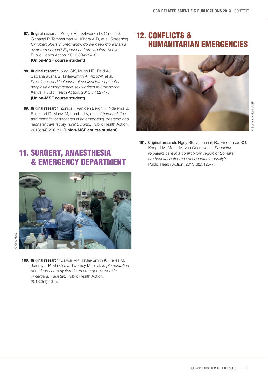- **97. Original research**: Kosgei RJ, Szkwarko D, Callens S, Gichangi P, Temmerman M, Kihara A-B, et al. *Screening [for tuberculosis in pregnancy: do we need more than a](http://fieldresearch.msf.org/msf/handle/10144/311687)  symptom screen? Experience from western Kenya.* Public Health Action. 2013;3(4):294-8. **(Union-MSF course student)**
- **98. Original research**: Njagi SK, Mugo NR, Reid AJ, Satyanarayana S, Tayler-Smith K, KizitoW, et al. *Prevalence and incidence of cervical intra-epithelial [neoplasia among female sex workers in Korogocho,](http://fieldresearch.msf.org/msf/handle/10144/311662?mode=full)  Kenya.* Public Health Action. 2013;3(4):271-5. **(Union-MSF course student)**
- **99. Original research**: Zuniga I, Van den Bergh R, Ndelema B, Bulckaert D, Manzi M, Lambert V, et al. *Characteristics [and mortality of neonates in an emergency obstetric and](http://fieldresearch.msf.org/msf/handle/10144/311643)  neonatal care facility, rural Burundi.* Public Health Action. 2013;3(4):276-81. **(Union-MSF course student)**

### 12. CONFLICTS & Humanitarian Emergencies



# 11. Surgery, Anaesthesia & Emergency Department



**100. Original research**: Dalwai MK, Tayler-Smith K, Trelles M, Jemmy J-P, Maikéré J, Twomey M, et al. *Implementation [of a triage score system in an emergency room in](http://fieldresearch.msf.org/msf/handle/10144/295252)  Timergara, Pakistan.* Public Health Action. 2013;3(1):43-5.

**101. Original research**: Ngoy BB, Zachariah R., Hinderaker SG, Khogali M, Manzi M, van Griensven J. *Paediatric [in-patient care in a conflict-torn region of Somalia:](http://fieldresearch.msf.org/msf/handle/10144/314673)  are hospital outcomes of acceptable quality?* Public Health Action. 2013;3(2):125-7.